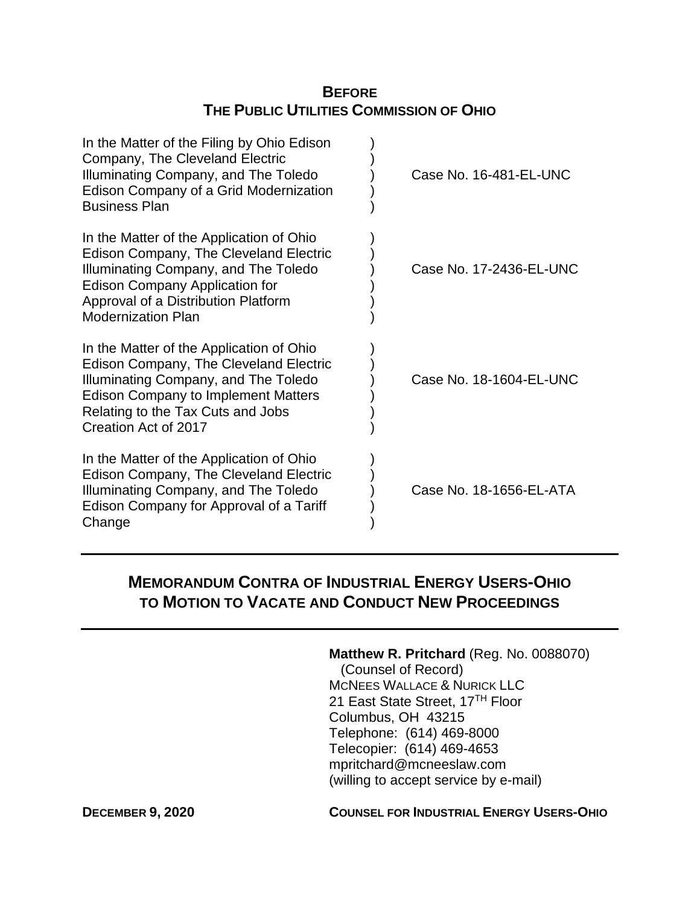# **BEFORE THE PUBLIC UTILITIES COMMISSION OF OHIO**

| In the Matter of the Filing by Ohio Edison<br>Company, The Cleveland Electric<br>Illuminating Company, and The Toledo<br>Edison Company of a Grid Modernization<br><b>Business Plan</b>                                                 | Case No. 16-481-EL-UNC  |
|-----------------------------------------------------------------------------------------------------------------------------------------------------------------------------------------------------------------------------------------|-------------------------|
| In the Matter of the Application of Ohio<br>Edison Company, The Cleveland Electric<br>Illuminating Company, and The Toledo<br><b>Edison Company Application for</b><br>Approval of a Distribution Platform<br><b>Modernization Plan</b> | Case No. 17-2436-EL-UNC |
| In the Matter of the Application of Ohio<br>Edison Company, The Cleveland Electric<br>Illuminating Company, and The Toledo<br><b>Edison Company to Implement Matters</b><br>Relating to the Tax Cuts and Jobs<br>Creation Act of 2017   | Case No. 18-1604-EL-UNC |
| In the Matter of the Application of Ohio<br>Edison Company, The Cleveland Electric<br>Illuminating Company, and The Toledo<br>Edison Company for Approval of a Tariff<br>Change                                                         | Case No. 18-1656-EL-ATA |

# **MEMORANDUM CONTRA OF INDUSTRIAL ENERGY USERS-OHIO TO MOTION TO VACATE AND CONDUCT NEW PROCEEDINGS**

#### **Matthew R. Pritchard** (Reg. No. 0088070)

 (Counsel of Record) MCNEES WALLACE & NURICK LLC 21 East State Street, 17<sup>TH</sup> Floor Columbus, OH 43215 Telephone: (614) 469-8000 Telecopier: (614) 469-4653 mpritchard@mcneeslaw.com (willing to accept service by e-mail)

### **DECEMBER 9, 2020 COUNSEL FOR INDUSTRIAL ENERGY USERS-OHIO**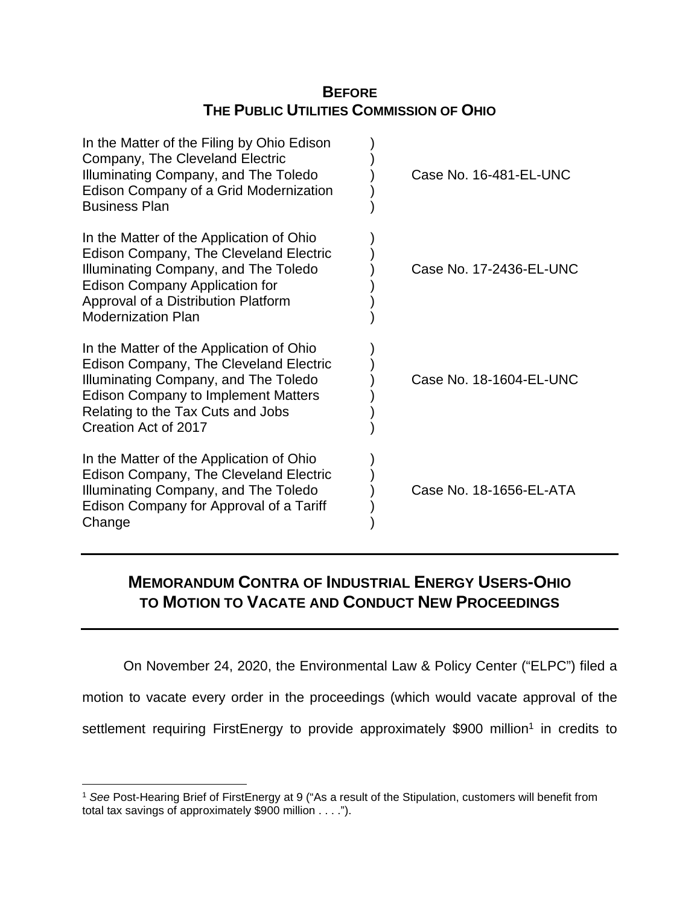# **BEFORE THE PUBLIC UTILITIES COMMISSION OF OHIO**

| In the Matter of the Filing by Ohio Edison<br>Company, The Cleveland Electric<br>Illuminating Company, and The Toledo<br>Edison Company of a Grid Modernization<br><b>Business Plan</b>                                                 | Case No. 16-481-EL-UNC  |
|-----------------------------------------------------------------------------------------------------------------------------------------------------------------------------------------------------------------------------------------|-------------------------|
| In the Matter of the Application of Ohio<br>Edison Company, The Cleveland Electric<br>Illuminating Company, and The Toledo<br><b>Edison Company Application for</b><br>Approval of a Distribution Platform<br><b>Modernization Plan</b> | Case No. 17-2436-EL-UNC |
| In the Matter of the Application of Ohio<br>Edison Company, The Cleveland Electric<br>Illuminating Company, and The Toledo<br><b>Edison Company to Implement Matters</b><br>Relating to the Tax Cuts and Jobs<br>Creation Act of 2017   | Case No. 18-1604-EL-UNC |
| In the Matter of the Application of Ohio<br>Edison Company, The Cleveland Electric<br>Illuminating Company, and The Toledo<br>Edison Company for Approval of a Tariff<br>Change                                                         | Case No. 18-1656-EL-ATA |

# **MEMORANDUM CONTRA OF INDUSTRIAL ENERGY USERS-OHIO TO MOTION TO VACATE AND CONDUCT NEW PROCEEDINGS**

On November 24, 2020, the Environmental Law & Policy Center ("ELPC") filed a motion to vacate every order in the proceedings (which would vacate approval of the settlement requiring FirstEnergy to provide approximately \$900 million<sup>1</sup> in credits to

<sup>1</sup> *See* Post-Hearing Brief of FirstEnergy at 9 ("As a result of the Stipulation, customers will benefit from total tax savings of approximately \$900 million . . . .").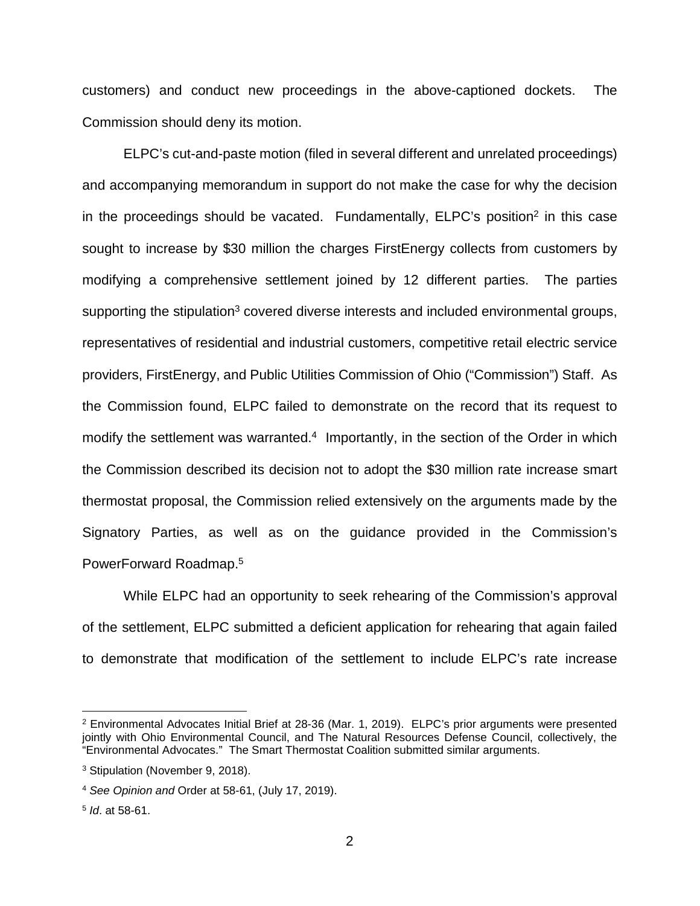customers) and conduct new proceedings in the above-captioned dockets. The Commission should deny its motion.

ELPC's cut-and-paste motion (filed in several different and unrelated proceedings) and accompanying memorandum in support do not make the case for why the decision in the proceedings should be vacated. Fundamentally, ELPC's position<sup>2</sup> in this case sought to increase by \$30 million the charges FirstEnergy collects from customers by modifying a comprehensive settlement joined by 12 different parties. The parties supporting the stipulation<sup>3</sup> covered diverse interests and included environmental groups, representatives of residential and industrial customers, competitive retail electric service providers, FirstEnergy, and Public Utilities Commission of Ohio ("Commission") Staff. As the Commission found, ELPC failed to demonstrate on the record that its request to modify the settlement was warranted. $4$  Importantly, in the section of the Order in which the Commission described its decision not to adopt the \$30 million rate increase smart thermostat proposal, the Commission relied extensively on the arguments made by the Signatory Parties, as well as on the guidance provided in the Commission's PowerForward Roadmap.<sup>5</sup>

While ELPC had an opportunity to seek rehearing of the Commission's approval of the settlement, ELPC submitted a deficient application for rehearing that again failed to demonstrate that modification of the settlement to include ELPC's rate increase

<sup>&</sup>lt;sup>2</sup> Environmental Advocates Initial Brief at 28-36 (Mar. 1, 2019). ELPC's prior arguments were presented jointly with Ohio Environmental Council, and The Natural Resources Defense Council, collectively, the "Environmental Advocates." The Smart Thermostat Coalition submitted similar arguments.

<sup>3</sup> Stipulation (November 9, 2018).

<sup>4</sup> *See Opinion and* Order at 58-61, (July 17, 2019).

<sup>5</sup> *Id*. at 58-61.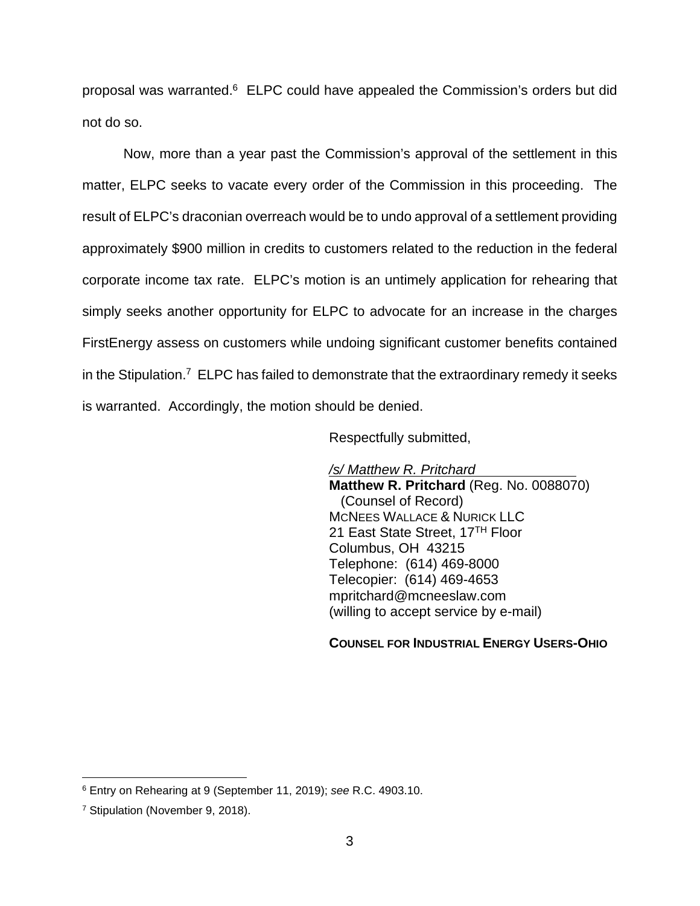proposal was warranted.<sup>6</sup> ELPC could have appealed the Commission's orders but did not do so.

Now, more than a year past the Commission's approval of the settlement in this matter, ELPC seeks to vacate every order of the Commission in this proceeding. The result of ELPC's draconian overreach would be to undo approval of a settlement providing approximately \$900 million in credits to customers related to the reduction in the federal corporate income tax rate. ELPC's motion is an untimely application for rehearing that simply seeks another opportunity for ELPC to advocate for an increase in the charges FirstEnergy assess on customers while undoing significant customer benefits contained in the Stipulation.<sup>7</sup> ELPC has failed to demonstrate that the extraordinary remedy it seeks is warranted. Accordingly, the motion should be denied.

Respectfully submitted,

*/s/ Matthew R. Pritchard*  **Matthew R. Pritchard** (Reg. No. 0088070) (Counsel of Record) MCNEES WALLACE & NURICK LLC 21 East State Street, 17TH Floor Columbus, OH 43215 Telephone: (614) 469-8000 Telecopier: (614) 469-4653 mpritchard@mcneeslaw.com (willing to accept service by e-mail)

#### **COUNSEL FOR INDUSTRIAL ENERGY USERS-OHIO**

<sup>6</sup> Entry on Rehearing at 9 (September 11, 2019); *see* R.C. 4903.10.

<sup>7</sup> Stipulation (November 9, 2018).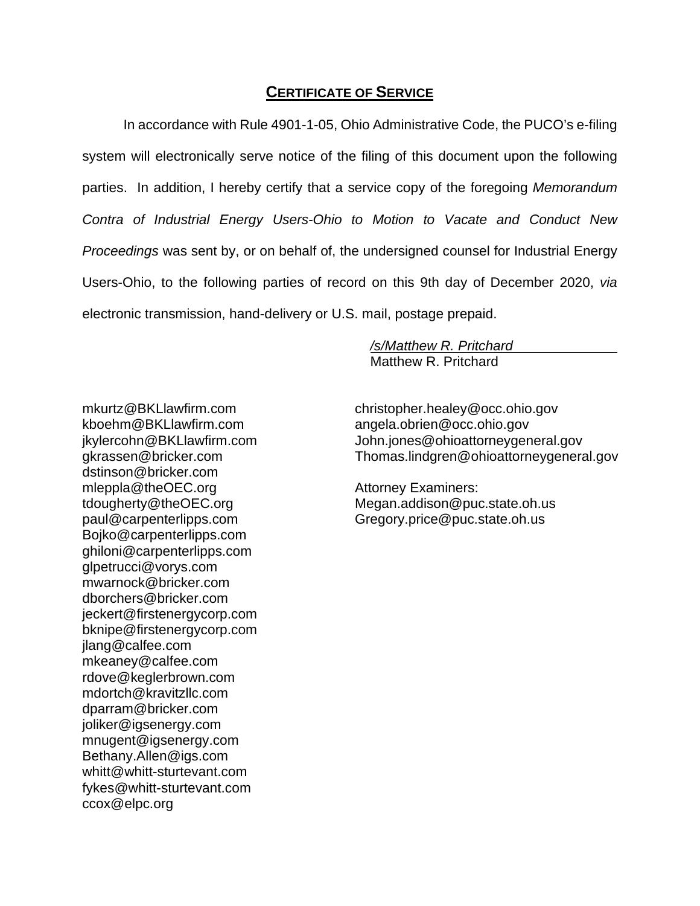### **CERTIFICATE OF SERVICE**

In accordance with Rule 4901-1-05, Ohio Administrative Code, the PUCO's e-filing system will electronically serve notice of the filing of this document upon the following parties. In addition, I hereby certify that a service copy of the foregoing *Memorandum Contra of Industrial Energy Users-Ohio to Motion to Vacate and Conduct New Proceedings* was sent by, or on behalf of, the undersigned counsel for Industrial Energy Users-Ohio, to the following parties of record on this 9th day of December 2020, *via* electronic transmission, hand-delivery or U.S. mail, postage prepaid.

> */s/Matthew R. Pritchard*  Matthew R. Pritchard

mkurtz@BKLlawfirm.com kboehm@BKLlawfirm.com jkylercohn@BKLlawfirm.com gkrassen@bricker.com dstinson@bricker.com mleppla@theOEC.org tdougherty@theOEC.org paul@carpenterlipps.com Bojko@carpenterlipps.com ghiloni@carpenterlipps.com glpetrucci@vorys.com mwarnock@bricker.com [dborchers@bricker.com](mailto:dborchers@bricker.com)  jeckert@firstenergycorp.com bknipe@firstenergycorp.com jlang@calfee.com mkeaney@calfee.com rdove@keglerbrown.com mdortch@kravitzllc.com dparram@bricker.com joliker@igsenergy.com mnugent@igsenergy.com Bethany.Allen@igs.com [whitt@whitt-sturtevant.com](mailto:whitt@whitt-sturtevant.com) fykes@whitt-sturtevant.com [ccox@elpc.org](mailto:ccox@elpc.org)

christopher.healey@occ.ohio.gov angela.obrien@occ.ohio.gov [John.jones@ohioattorneygeneral.gov](mailto:John.jones@ohioattorneygeneral.gov) Thomas.lindgren@ohioattorneygeneral.gov

Attorney Examiners: Megan.addison@puc.state.oh.us Gregory.price@puc.state.oh.us